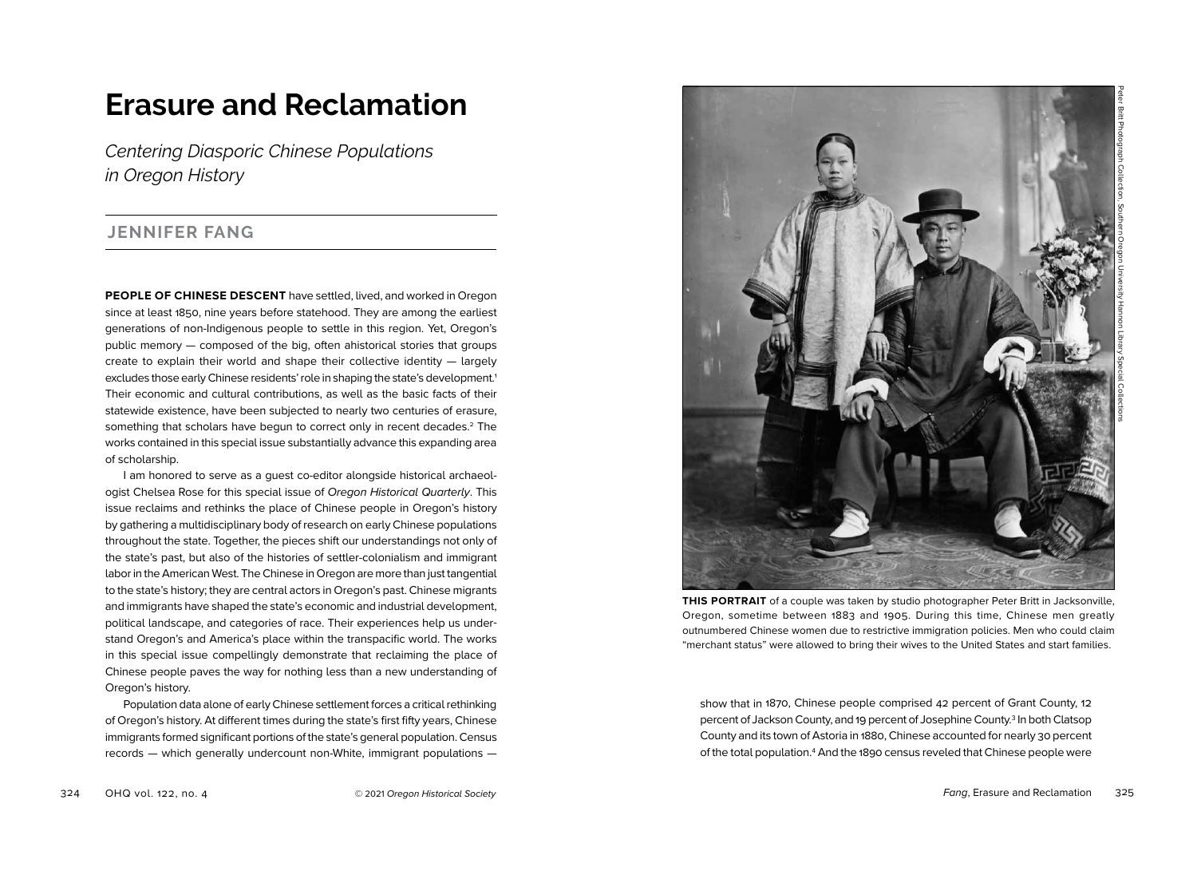# **Erasure and Reclamation**

*Centering Diasporic Chinese Populations in Oregon History*

## **JENNIFER FANG**

**PEOPLE OF CHINESE DESCENT** have settled, lived, and worked in Oregon since at least 1850, nine years before statehood. They are among the earliest generations of non-Indigenous people to settle in this region. Yet, Oregon's public memory — composed of the big, often ahistorical stories that groups create to explain their world and shape their collective identity — largely excludes those early Chinese residents' role in shaping the state's development.<sup>1</sup> Their economic and cultural contributions, as well as the basic facts of their statewide existence, have been subjected to nearly two centuries of erasure, something that scholars have begun to correct only in recent decades.<sup>2</sup> The works contained in this special issue substantially advance this expanding area of scholarship.

I am honored to serve as a guest co-editor alongside historical archaeologist Chelsea Rose for this special issue of *Oregon Historical Quarterly*. This issue reclaims and rethinks the place of Chinese people in Oregon's history by gathering a multidisciplinary body of research on early Chinese populations throughout the state. Together, the pieces shift our understandings not only of the state's past, but also of the histories of settler-colonialism and immigrant labor in the American West. The Chinese in Oregon are more than just tangential to the state's history; they are central actors in Oregon's past. Chinese migrants and immigrants have shaped the state's economic and industrial development, political landscape, and categories of race. Their experiences help us understand Oregon's and America's place within the transpacific world. The works in this special issue compellingly demonstrate that reclaiming the place of Chinese people paves the way for nothing less than a new understanding of Oregon's history.

Population data alone of early Chinese settlement forces a critical rethinking of Oregon's history. At different times during the state's first fifty years, Chinese immigrants formed significant portions of the state's general population. Census records — which generally undercount non-White, immigrant populations —



**THIS PORTRAIT** of a couple was taken by studio photographer Peter Britt in Jacksonville, Oregon, sometime between 1883 and 1905. During this time, Chinese men greatly outnumbered Chinese women due to restrictive immigration policies. Men who could claim "merchant status" were allowed to bring their wives to the United States and start families.

show that in 1870, Chinese people comprised 42 percent of Grant County, 12 percent of Jackson County, and 19 percent of Josephine County.3 In both Clatsop County and its town of Astoria in 1880, Chinese accounted for nearly 30 percent of the total population.<sup>4</sup> And the 1890 census reveled that Chinese people were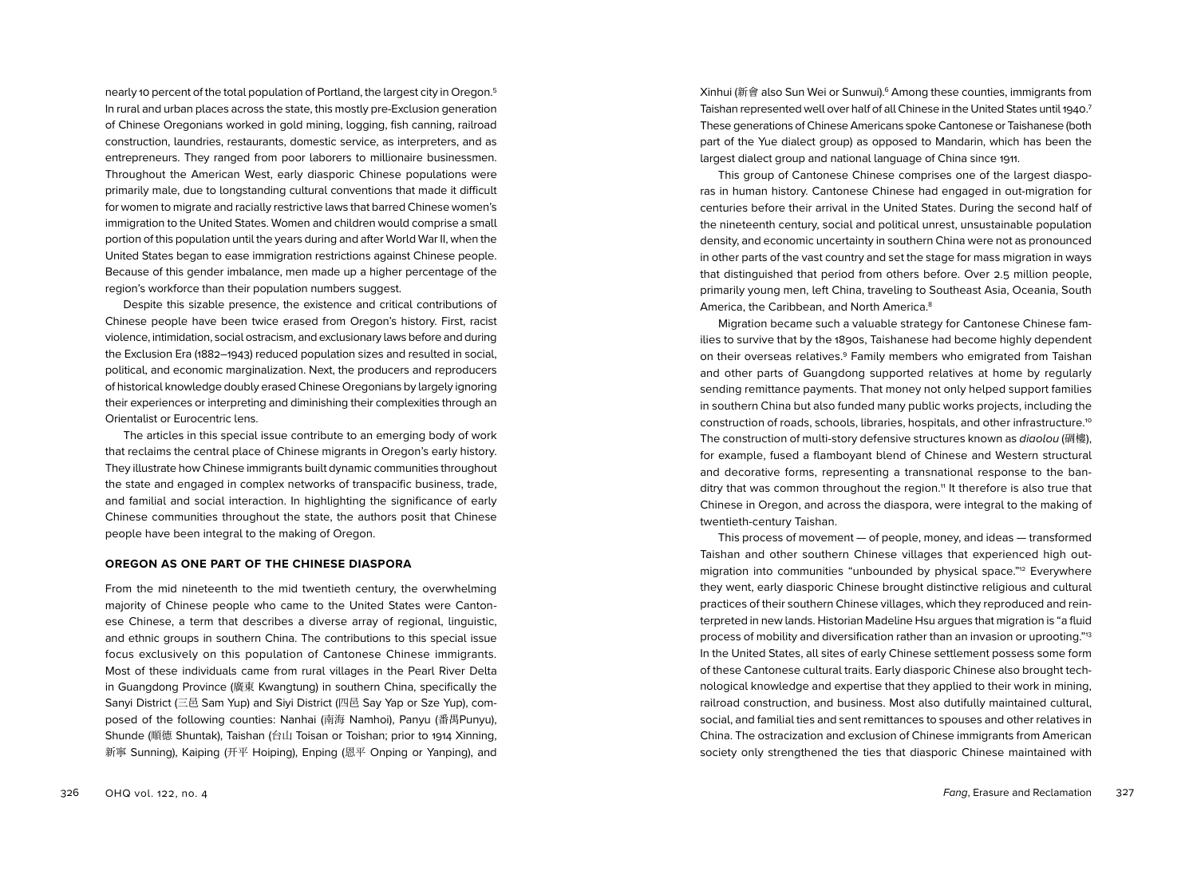nearly 10 percent of the total population of Portland, the largest city in Oregon.5 In rural and urban places across the state, this mostly pre-Exclusion generation of Chinese Oregonians worked in gold mining, logging, fish canning, railroad construction, laundries, restaurants, domestic service, as interpreters, and as entrepreneurs. They ranged from poor laborers to millionaire businessmen. Throughout the American West, early diasporic Chinese populations were primarily male, due to longstanding cultural conventions that made it difficult for women to migrate and racially restrictive laws that barred Chinese women's immigration to the United States. Women and children would comprise a small portion of this population until the years during and after World War II, when the United States began to ease immigration restrictions against Chinese people. Because of this gender imbalance, men made up a higher percentage of the region's workforce than their population numbers suggest.

Despite this sizable presence, the existence and critical contributions of Chinese people have been twice erased from Oregon's history. First, racist violence, intimidation, social ostracism, and exclusionary laws before and during the Exclusion Era (1882–1943) reduced population sizes and resulted in social, political, and economic marginalization. Next, the producers and reproducers of historical knowledge doubly erased Chinese Oregonians by largely ignoring their experiences or interpreting and diminishing their complexities through an Orientalist or Eurocentric lens.

The articles in this special issue contribute to an emerging body of work that reclaims the central place of Chinese migrants in Oregon's early history. They illustrate how Chinese immigrants built dynamic communities throughout the state and engaged in complex networks of transpacific business, trade, and familial and social interaction. In highlighting the significance of early Chinese communities throughout the state, the authors posit that Chinese people have been integral to the making of Oregon.

#### **OREGON AS ONE PART OF THE CHINESE DIASPORA**

From the mid nineteenth to the mid twentieth century, the overwhelming majority of Chinese people who came to the United States were Cantonese Chinese, a term that describes a diverse array of regional, linguistic, and ethnic groups in southern China. The contributions to this special issue focus exclusively on this population of Cantonese Chinese immigrants. Most of these individuals came from rural villages in the Pearl River Delta in Guangdong Province (廣東 Kwangtung) in southern China, specifically the Sanyi District (三邑 Sam Yup) and Siyi District (四邑 Say Yap or Sze Yup), composed of the following counties: Nanhai (南海 Namhoi), Panyu (番禺Punyu), Shunde (順德 Shuntak), Taishan (台山 Toisan or Toishan; prior to 1914 Xinning, 新寧 Sunning), Kaiping (开平 Hoiping), Enping (恩平 Onping or Yanping), and Xinhui (新會 also Sun Wei or Sunwui).6 Among these counties, immigrants from Taishan represented well over half of all Chinese in the United States until 1940. 7 These generations of Chinese Americans spoke Cantonese or Taishanese (both part of the Yue dialect group) as opposed to Mandarin, which has been the largest dialect group and national language of China since 1911.

This group of Cantonese Chinese comprises one of the largest diasporas in human history. Cantonese Chinese had engaged in out-migration for centuries before their arrival in the United States. During the second half of the nineteenth century, social and political unrest, unsustainable population density, and economic uncertainty in southern China were not as pronounced in other parts of the vast country and set the stage for mass migration in ways that distinguished that period from others before. Over 2.5 million people, primarily young men, left China, traveling to Southeast Asia, Oceania, South America, the Caribbean, and North America.<sup>8</sup>

Migration became such a valuable strategy for Cantonese Chinese families to survive that by the 1890s, Taishanese had become highly dependent on their overseas relatives.9 Family members who emigrated from Taishan and other parts of Guangdong supported relatives at home by regularly sending remittance payments. That money not only helped support families in southern China but also funded many public works projects, including the construction of roads, schools, libraries, hospitals, and other infrastructure.10 The construction of multi-story defensive structures known as *diaolou* (碉樓), for example, fused a flamboyant blend of Chinese and Western structural and decorative forms, representing a transnational response to the banditry that was common throughout the region.<sup>11</sup> It therefore is also true that Chinese in Oregon, and across the diaspora, were integral to the making of twentieth-century Taishan.

This process of movement — of people, money, and ideas — transformed Taishan and other southern Chinese villages that experienced high outmigration into communities "unbounded by physical space."12 Everywhere they went, early diasporic Chinese brought distinctive religious and cultural practices of their southern Chinese villages, which they reproduced and reinterpreted in new lands. Historian Madeline Hsu argues that migration is "a fluid process of mobility and diversification rather than an invasion or uprooting."13 In the United States, all sites of early Chinese settlement possess some form of these Cantonese cultural traits. Early diasporic Chinese also brought technological knowledge and expertise that they applied to their work in mining, railroad construction, and business. Most also dutifully maintained cultural, social, and familial ties and sent remittances to spouses and other relatives in China. The ostracization and exclusion of Chinese immigrants from American society only strengthened the ties that diasporic Chinese maintained with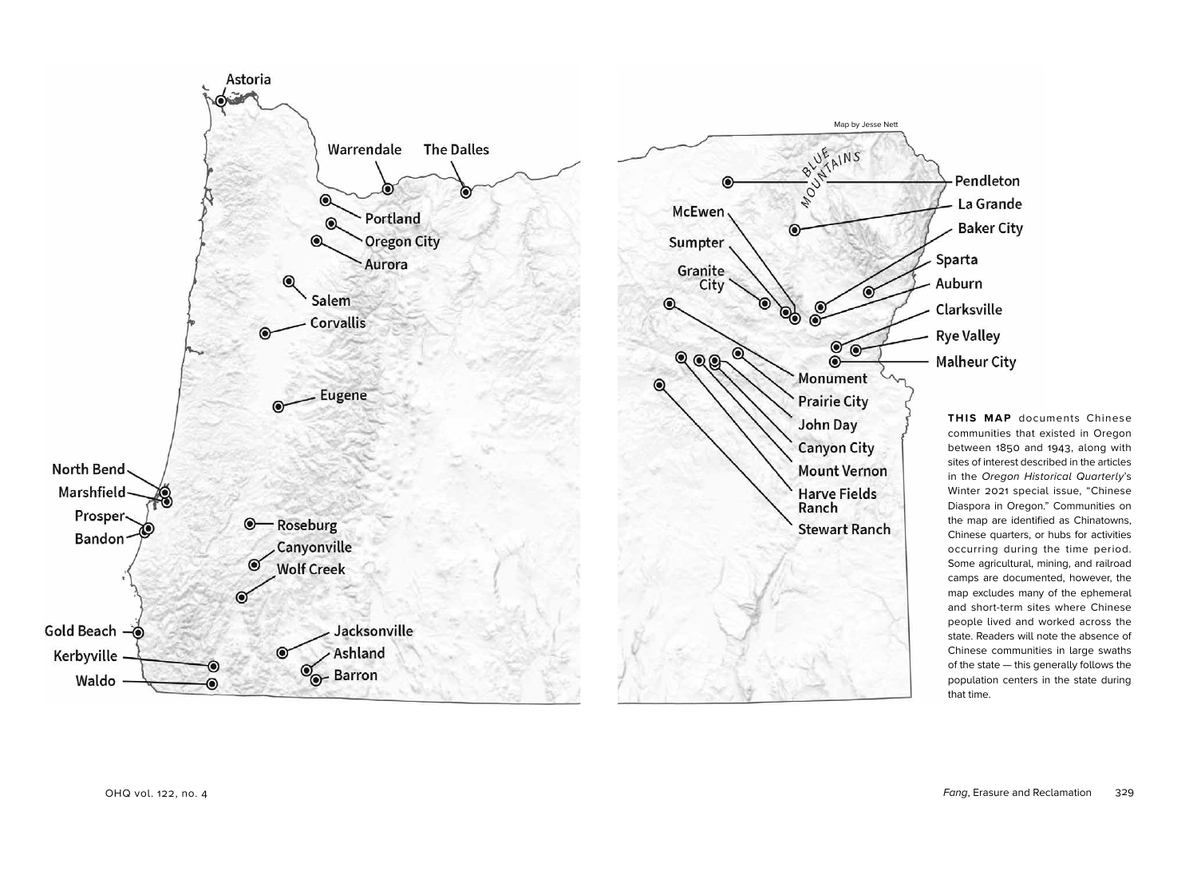

**THIS MAP** documents Chinese communities that existed in Oregon between 1850 and 1943, along with sites of interest described in the articles in the *Oregon Historical Quarterly*'s Winter 2021 special issue, "Chinese Diaspora in Oregon." Communities on the map are identified as Chinatowns, Chinese quarters, or hubs for activities occurring during the time period. Some agricultural, mining, and railroad camps are documented, however, the map excludes many of the ephemeral and short-term sites where Chinese people lived and worked across the state. Readers will note the absence of Chinese communities in large swaths of the state — this generally follows the population centers in the state during that time.

Pendleton

La Grande

**Baker City**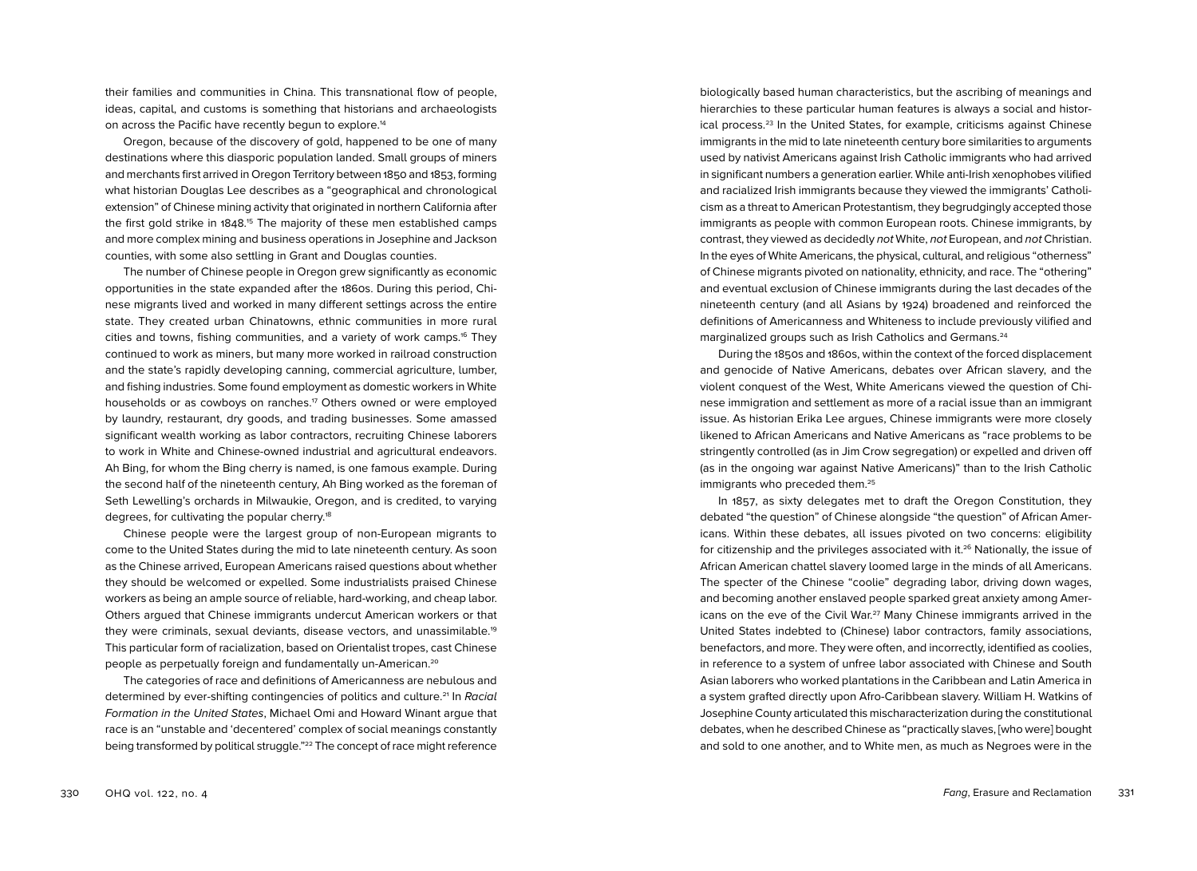their families and communities in China. This transnational flow of people, ideas, capital, and customs is something that historians and archaeologists on across the Pacific have recently begun to explore.<sup>14</sup>

Oregon, because of the discovery of gold, happened to be one of many destinations where this diasporic population landed. Small groups of miners and merchants first arrived in Oregon Territory between 1850 and 1853, forming what historian Douglas Lee describes as a "geographical and chronological extension" of Chinese mining activity that originated in northern California after the first gold strike in 1848.<sup>15</sup> The majority of these men established camps and more complex mining and business operations in Josephine and Jackson counties, with some also settling in Grant and Douglas counties.

The number of Chinese people in Oregon grew significantly as economic opportunities in the state expanded after the 1860s. During this period, Chinese migrants lived and worked in many different settings across the entire state. They created urban Chinatowns, ethnic communities in more rural cities and towns, fishing communities, and a variety of work camps.16 They continued to work as miners, but many more worked in railroad construction and the state's rapidly developing canning, commercial agriculture, lumber, and fishing industries. Some found employment as domestic workers in White households or as cowboys on ranches.<sup>17</sup> Others owned or were employed by laundry, restaurant, dry goods, and trading businesses. Some amassed significant wealth working as labor contractors, recruiting Chinese laborers to work in White and Chinese-owned industrial and agricultural endeavors. Ah Bing, for whom the Bing cherry is named, is one famous example. During the second half of the nineteenth century, Ah Bing worked as the foreman of Seth Lewelling's orchards in Milwaukie, Oregon, and is credited, to varying degrees, for cultivating the popular cherry.<sup>18</sup>

Chinese people were the largest group of non-European migrants to come to the United States during the mid to late nineteenth century. As soon as the Chinese arrived, European Americans raised questions about whether they should be welcomed or expelled. Some industrialists praised Chinese workers as being an ample source of reliable, hard-working, and cheap labor. Others argued that Chinese immigrants undercut American workers or that they were criminals, sexual deviants, disease vectors, and unassimilable.19 This particular form of racialization, based on Orientalist tropes, cast Chinese people as perpetually foreign and fundamentally un-American.20

The categories of race and definitions of Americanness are nebulous and determined by ever-shifting contingencies of politics and culture.21 In *Racial Formation in the United States*, Michael Omi and Howard Winant argue that race is an "unstable and 'decentered' complex of social meanings constantly being transformed by political struggle."22 The concept of race might reference

biologically based human characteristics, but the ascribing of meanings and hierarchies to these particular human features is always a social and historical process.23 In the United States, for example, criticisms against Chinese immigrants in the mid to late nineteenth century bore similarities to arguments used by nativist Americans against Irish Catholic immigrants who had arrived in significant numbers a generation earlier. While anti-Irish xenophobes vilified and racialized Irish immigrants because they viewed the immigrants' Catholicism as a threat to American Protestantism, they begrudgingly accepted those immigrants as people with common European roots. Chinese immigrants, by contrast, they viewed as decidedly *not* White, *not* European, and *not* Christian. In the eyes of White Americans, the physical, cultural, and religious "otherness" of Chinese migrants pivoted on nationality, ethnicity, and race. The "othering" and eventual exclusion of Chinese immigrants during the last decades of the nineteenth century (and all Asians by 1924) broadened and reinforced the definitions of Americanness and Whiteness to include previously vilified and marginalized groups such as Irish Catholics and Germans.24

During the 1850s and 1860s, within the context of the forced displacement and genocide of Native Americans, debates over African slavery, and the violent conquest of the West, White Americans viewed the question of Chinese immigration and settlement as more of a racial issue than an immigrant issue. As historian Erika Lee argues, Chinese immigrants were more closely likened to African Americans and Native Americans as "race problems to be stringently controlled (as in Jim Crow segregation) or expelled and driven off (as in the ongoing war against Native Americans)" than to the Irish Catholic immigrants who preceded them.<sup>25</sup>

In 1857, as sixty delegates met to draft the Oregon Constitution, they debated "the question" of Chinese alongside "the question" of African Americans. Within these debates, all issues pivoted on two concerns: eligibility for citizenship and the privileges associated with it.<sup>26</sup> Nationally, the issue of African American chattel slavery loomed large in the minds of all Americans. The specter of the Chinese "coolie" degrading labor, driving down wages, and becoming another enslaved people sparked great anxiety among Americans on the eve of the Civil War.27 Many Chinese immigrants arrived in the United States indebted to (Chinese) labor contractors, family associations, benefactors, and more. They were often, and incorrectly, identified as coolies, in reference to a system of unfree labor associated with Chinese and South Asian laborers who worked plantations in the Caribbean and Latin America in a system grafted directly upon Afro-Caribbean slavery. William H. Watkins of Josephine County articulated this mischaracterization during the constitutional debates, when he described Chinese as "practically slaves, [who were] bought and sold to one another, and to White men, as much as Negroes were in the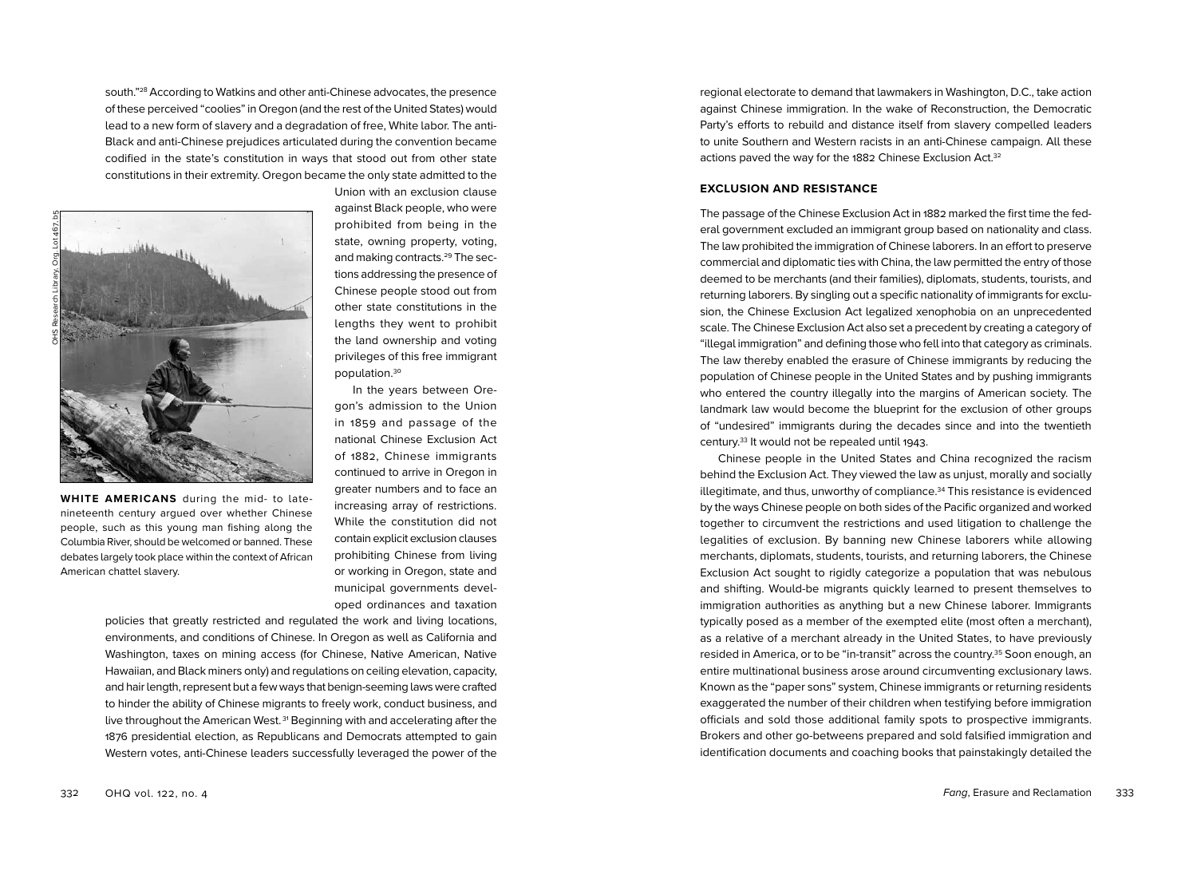south."28 According to Watkins and other anti-Chinese advocates, the presence of these perceived "coolies" in Oregon (and the rest of the United States) would lead to a new form of slavery and a degradation of free, White labor. The anti-Black and anti-Chinese prejudices articulated during the convention became codified in the state's constitution in ways that stood out from other state constitutions in their extremity. Oregon became the only state admitted to the



**WHITE AMERICANS** during the mid- to latenineteenth century argued over whether Chinese people, such as this young man fishing along the Columbia River, should be welcomed or banned. These debates largely took place within the context of African American chattel slavery.

Union with an exclusion clause against Black people, who were prohibited from being in the state, owning property, voting, and making contracts.<sup>29</sup> The sections addressing the presence of Chinese people stood out from other state constitutions in the lengths they went to prohibit the land ownership and voting privileges of this free immigrant population.30

In the years between Oregon's admission to the Union in 1859 and passage of the national Chinese Exclusion Act of 1882, Chinese immigrants continued to arrive in Oregon in greater numbers and to face an increasing array of restrictions. While the constitution did not contain explicit exclusion clauses prohibiting Chinese from living or working in Oregon, state and municipal governments developed ordinances and taxation

policies that greatly restricted and regulated the work and living locations, environments, and conditions of Chinese. In Oregon as well as California and Washington, taxes on mining access (for Chinese, Native American, Native Hawaiian, and Black miners only) and regulations on ceiling elevation, capacity, and hair length, represent but a few ways that benign-seeming laws were crafted to hinder the ability of Chinese migrants to freely work, conduct business, and live throughout the American West. 31 Beginning with and accelerating after the 1876 presidential election, as Republicans and Democrats attempted to gain Western votes, anti-Chinese leaders successfully leveraged the power of the

regional electorate to demand that lawmakers in Washington, D.C., take action against Chinese immigration. In the wake of Reconstruction, the Democratic Party's efforts to rebuild and distance itself from slavery compelled leaders to unite Southern and Western racists in an anti-Chinese campaign. All these actions paved the way for the 1882 Chinese Exclusion Act.<sup>32</sup>

#### **EXCLUSION AND RESISTANCE**

The passage of the Chinese Exclusion Act in 1882 marked the first time the federal government excluded an immigrant group based on nationality and class. The law prohibited the immigration of Chinese laborers. In an effort to preserve commercial and diplomatic ties with China, the law permitted the entry of those deemed to be merchants (and their families), diplomats, students, tourists, and returning laborers. By singling out a specific nationality of immigrants for exclusion, the Chinese Exclusion Act legalized xenophobia on an unprecedented scale. The Chinese Exclusion Act also set a precedent by creating a category of "illegal immigration" and defining those who fell into that category as criminals. The law thereby enabled the erasure of Chinese immigrants by reducing the population of Chinese people in the United States and by pushing immigrants who entered the country illegally into the margins of American society. The landmark law would become the blueprint for the exclusion of other groups of "undesired" immigrants during the decades since and into the twentieth century.33 It would not be repealed until 1943.

Chinese people in the United States and China recognized the racism behind the Exclusion Act. They viewed the law as unjust, morally and socially illegitimate, and thus, unworthy of compliance.34 This resistance is evidenced by the ways Chinese people on both sides of the Pacific organized and worked together to circumvent the restrictions and used litigation to challenge the legalities of exclusion. By banning new Chinese laborers while allowing merchants, diplomats, students, tourists, and returning laborers, the Chinese Exclusion Act sought to rigidly categorize a population that was nebulous and shifting. Would-be migrants quickly learned to present themselves to immigration authorities as anything but a new Chinese laborer. Immigrants typically posed as a member of the exempted elite (most often a merchant), as a relative of a merchant already in the United States, to have previously resided in America, or to be "in-transit" across the country.35 Soon enough, an entire multinational business arose around circumventing exclusionary laws. Known as the "paper sons" system, Chinese immigrants or returning residents exaggerated the number of their children when testifying before immigration officials and sold those additional family spots to prospective immigrants. Brokers and other go-betweens prepared and sold falsified immigration and identification documents and coaching books that painstakingly detailed the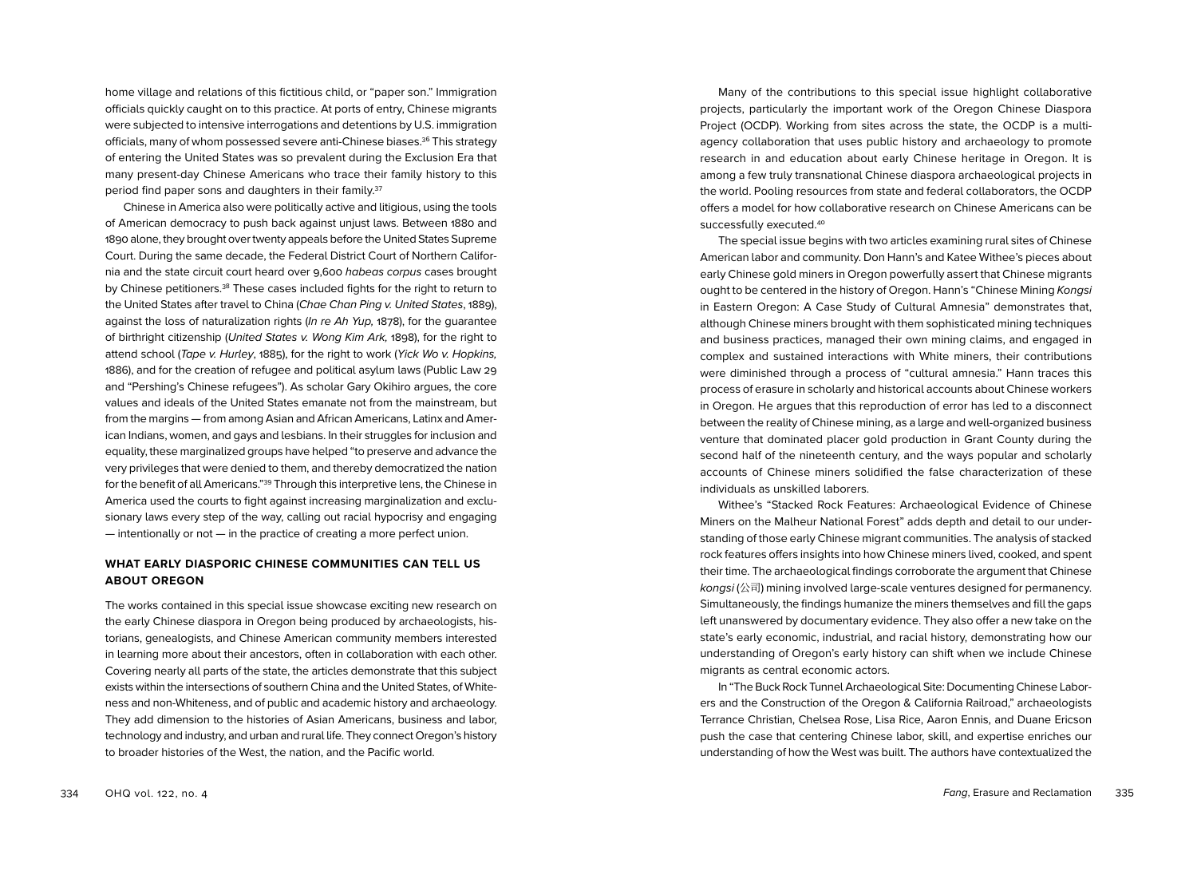home village and relations of this fictitious child, or "paper son." Immigration officials quickly caught on to this practice. At ports of entry, Chinese migrants were subjected to intensive interrogations and detentions by U.S. immigration officials, many of whom possessed severe anti-Chinese biases.36 This strategy of entering the United States was so prevalent during the Exclusion Era that many present-day Chinese Americans who trace their family history to this period find paper sons and daughters in their family.<sup>37</sup>

Chinese in America also were politically active and litigious, using the tools of American democracy to push back against unjust laws. Between 1880 and 1890 alone, they brought over twenty appeals before the United States Supreme Court. During the same decade, the Federal District Court of Northern California and the state circuit court heard over 9,600 *habeas corpus* cases brought by Chinese petitioners.38 These cases included fights for the right to return to the United States after travel to China (*Chae Chan Ping v. United States*, 1889), against the loss of naturalization rights (*In re Ah Yup,* 1878), for the guarantee of birthright citizenship (*United States v. Wong Kim Ark,* 1898), for the right to attend school (*Tape v. Hurley*, 1885), for the right to work (*Yick Wo v. Hopkins,*  1886), and for the creation of refugee and political asylum laws (Public Law 29 and "Pershing's Chinese refugees"). As scholar Gary Okihiro argues, the core values and ideals of the United States emanate not from the mainstream, but from the margins — from among Asian and African Americans, Latinx and American Indians, women, and gays and lesbians. In their struggles for inclusion and equality, these marginalized groups have helped "to preserve and advance the very privileges that were denied to them, and thereby democratized the nation for the benefit of all Americans."39 Through this interpretive lens, the Chinese in America used the courts to fight against increasing marginalization and exclusionary laws every step of the way, calling out racial hypocrisy and engaging — intentionally or not — in the practice of creating a more perfect union.

### **WHAT EARLY DIASPORIC CHINESE COMMUNITIES CAN TELL US ABOUT OREGON**

The works contained in this special issue showcase exciting new research on the early Chinese diaspora in Oregon being produced by archaeologists, historians, genealogists, and Chinese American community members interested in learning more about their ancestors, often in collaboration with each other. Covering nearly all parts of the state, the articles demonstrate that this subject exists within the intersections of southern China and the United States, of Whiteness and non-Whiteness, and of public and academic history and archaeology. They add dimension to the histories of Asian Americans, business and labor, technology and industry, and urban and rural life. They connect Oregon's history to broader histories of the West, the nation, and the Pacific world.

Many of the contributions to this special issue highlight collaborative projects, particularly the important work of the Oregon Chinese Diaspora Project (OCDP). Working from sites across the state, the OCDP is a multiagency collaboration that uses public history and archaeology to promote research in and education about early Chinese heritage in Oregon. It is among a few truly transnational Chinese diaspora archaeological projects in the world. Pooling resources from state and federal collaborators, the OCDP offers a model for how collaborative research on Chinese Americans can be successfully executed.<sup>40</sup>

The special issue begins with two articles examining rural sites of Chinese American labor and community. Don Hann's and Katee Withee's pieces about early Chinese gold miners in Oregon powerfully assert that Chinese migrants ought to be centered in the history of Oregon. Hann's "Chinese Mining *Kongsi* in Eastern Oregon: A Case Study of Cultural Amnesia" demonstrates that, although Chinese miners brought with them sophisticated mining techniques and business practices, managed their own mining claims, and engaged in complex and sustained interactions with White miners, their contributions were diminished through a process of "cultural amnesia." Hann traces this process of erasure in scholarly and historical accounts about Chinese workers in Oregon. He argues that this reproduction of error has led to a disconnect between the reality of Chinese mining, as a large and well-organized business venture that dominated placer gold production in Grant County during the second half of the nineteenth century, and the ways popular and scholarly accounts of Chinese miners solidified the false characterization of these individuals as unskilled laborers.

Withee's "Stacked Rock Features: Archaeological Evidence of Chinese Miners on the Malheur National Forest" adds depth and detail to our understanding of those early Chinese migrant communities. The analysis of stacked rock features offers insights into how Chinese miners lived, cooked, and spent their time. The archaeological findings corroborate the argument that Chinese *kongsi* (公司) mining involved large-scale ventures designed for permanency. Simultaneously, the findings humanize the miners themselves and fill the gaps left unanswered by documentary evidence. They also offer a new take on the state's early economic, industrial, and racial history, demonstrating how our understanding of Oregon's early history can shift when we include Chinese migrants as central economic actors.

In "The Buck Rock Tunnel Archaeological Site: Documenting Chinese Laborers and the Construction of the Oregon & California Railroad," archaeologists Terrance Christian, Chelsea Rose, Lisa Rice, Aaron Ennis, and Duane Ericson push the case that centering Chinese labor, skill, and expertise enriches our understanding of how the West was built. The authors have contextualized the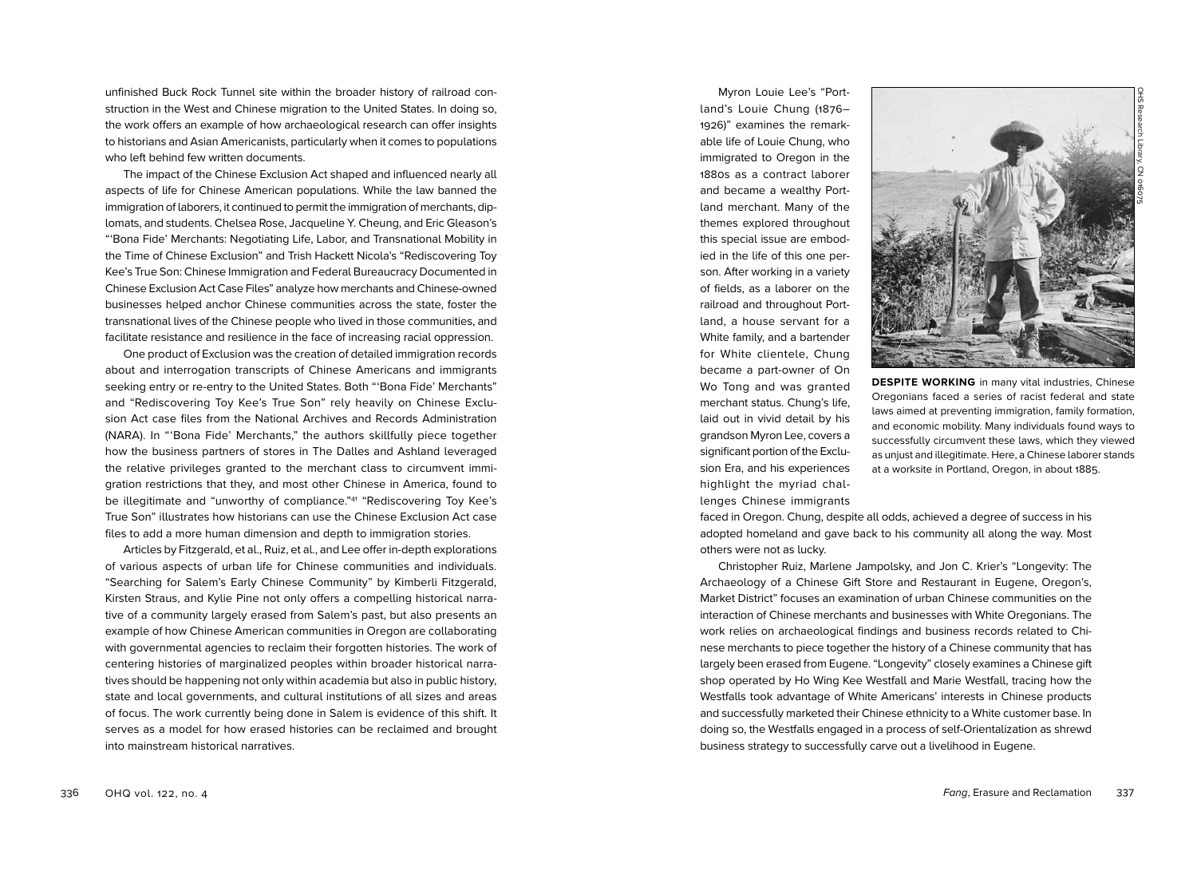unfinished Buck Rock Tunnel site within the broader history of railroad construction in the West and Chinese migration to the United States. In doing so, the work offers an example of how archaeological research can offer insights to historians and Asian Americanists, particularly when it comes to populations who left behind few written documents.

The impact of the Chinese Exclusion Act shaped and influenced nearly all aspects of life for Chinese American populations. While the law banned the immigration of laborers, it continued to permit the immigration of merchants, diplomats, and students. Chelsea Rose, Jacqueline Y. Cheung, and Eric Gleason's " 'Bona Fide' Merchants: Negotiating Life, Labor, and Transnational Mobility in the Time of Chinese Exclusion" and Trish Hackett Nicola's "Rediscovering Toy Kee's True Son: Chinese Immigration and Federal Bureaucracy Documented in Chinese Exclusion Act Case Files" analyze how merchants and Chinese-owned businesses helped anchor Chinese communities across the state, foster the transnational lives of the Chinese people who lived in those communities, and facilitate resistance and resilience in the face of increasing racial oppression.

One product of Exclusion was the creation of detailed immigration records about and interrogation transcripts of Chinese Americans and immigrants seeking entry or re-entry to the United States. Both " 'Bona Fide' Merchants" and "Rediscovering Toy Kee's True Son" rely heavily on Chinese Exclusion Act case files from the National Archives and Records Administration (NARA). In " 'Bona Fide' Merchants," the authors skillfully piece together how the business partners of stores in The Dalles and Ashland leveraged the relative privileges granted to the merchant class to circumvent immigration restrictions that they, and most other Chinese in America, found to be illegitimate and "unworthy of compliance."41 "Rediscovering Toy Kee's True Son" illustrates how historians can use the Chinese Exclusion Act case files to add a more human dimension and depth to immigration stories.

Articles by Fitzgerald, et al., Ruiz, et al., and Lee offer in-depth explorations of various aspects of urban life for Chinese communities and individuals. "Searching for Salem's Early Chinese Community" by Kimberli Fitzgerald, Kirsten Straus, and Kylie Pine not only offers a compelling historical narrative of a community largely erased from Salem's past, but also presents an example of how Chinese American communities in Oregon are collaborating with governmental agencies to reclaim their forgotten histories. The work of centering histories of marginalized peoples within broader historical narratives should be happening not only within academia but also in public history, state and local governments, and cultural institutions of all sizes and areas of focus. The work currently being done in Salem is evidence of this shift. It serves as a model for how erased histories can be reclaimed and brought into mainstream historical narratives.

Myron Louie Lee's "Portland's Louie Chung (1876– 1926)" examines the remarkable life of Louie Chung, who immigrated to Oregon in the 1880s as a contract laborer and became a wealthy Portland merchant. Many of the themes explored throughout this special issue are embodied in the life of this one person. After working in a variety of fields, as a laborer on the railroad and throughout Portland, a house servant for a White family, and a bartender for White clientele, Chung became a part-owner of On Wo Tong and was granted merchant status. Chung's life, laid out in vivid detail by his grandson Myron Lee, covers a significant portion of the Exclusion Era, and his experiences highlight the myriad challenges Chinese immigrants



**DESPITE WORKING** in many vital industries, Chinese Oregonians faced a series of racist federal and state laws aimed at preventing immigration, family formation, and economic mobility. Many individuals found ways to successfully circumvent these laws, which they viewed as unjust and illegitimate. Here, a Chinese laborer stands at a worksite in Portland, Oregon, in about 1885.

faced in Oregon. Chung, despite all odds, achieved a degree of success in his adopted homeland and gave back to his community all along the way. Most others were not as lucky.

Christopher Ruiz, Marlene Jampolsky, and Jon C. Krier's "Longevity: The Archaeology of a Chinese Gift Store and Restaurant in Eugene, Oregon's, Market District" focuses an examination of urban Chinese communities on the interaction of Chinese merchants and businesses with White Oregonians. The work relies on archaeological findings and business records related to Chinese merchants to piece together the history of a Chinese community that has largely been erased from Eugene. "Longevity" closely examines a Chinese gift shop operated by Ho Wing Kee Westfall and Marie Westfall, tracing how the Westfalls took advantage of White Americans' interests in Chinese products and successfully marketed their Chinese ethnicity to a White customer base. In doing so, the Westfalls engaged in a process of self-Orientalization as shrewd business strategy to successfully carve out a livelihood in Eugene.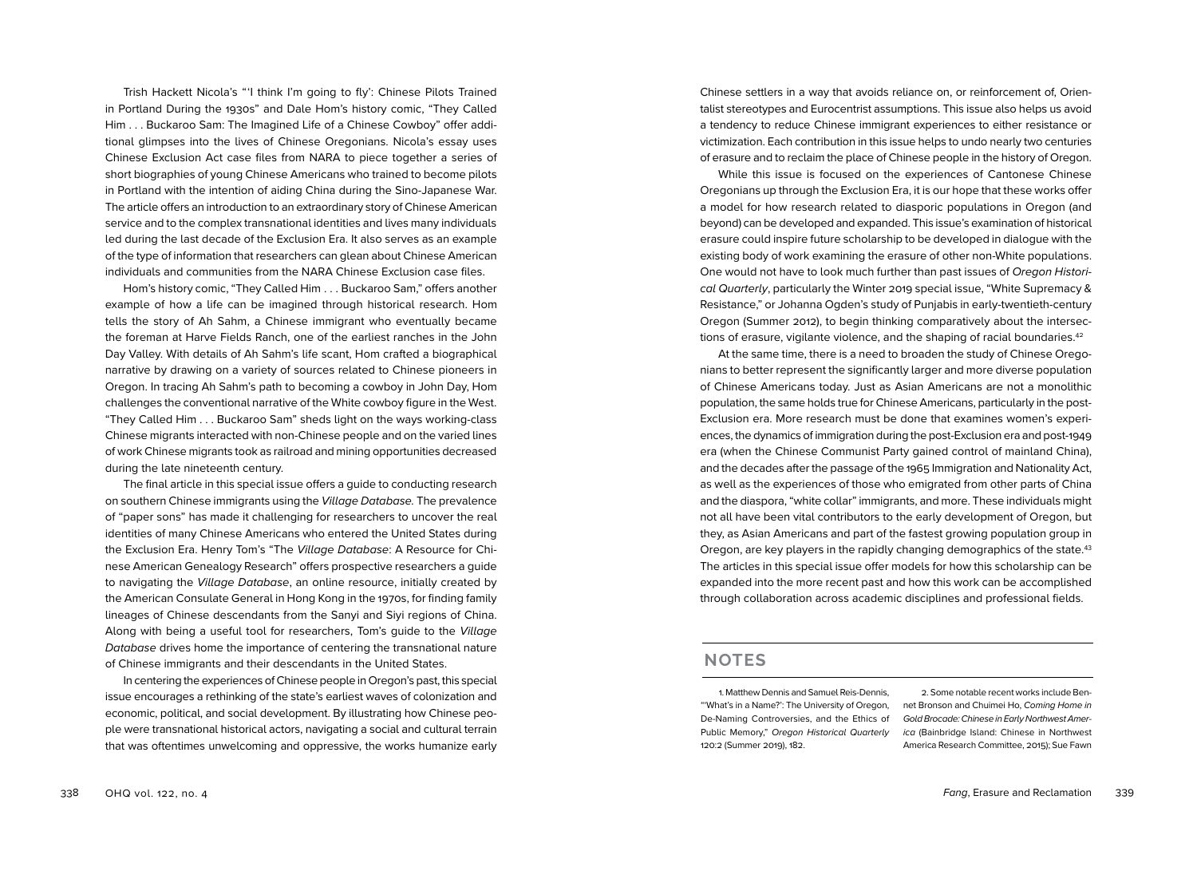Trish Hackett Nicola's " 'I think I'm going to fly': Chinese Pilots Trained in Portland During the 1930s" and Dale Hom's history comic, "They Called Him . . . Buckaroo Sam: The Imagined Life of a Chinese Cowboy" offer additional glimpses into the lives of Chinese Oregonians. Nicola's essay uses Chinese Exclusion Act case files from NARA to piece together a series of short biographies of young Chinese Americans who trained to become pilots in Portland with the intention of aiding China during the Sino-Japanese War. The article offers an introduction to an extraordinary story of Chinese American service and to the complex transnational identities and lives many individuals led during the last decade of the Exclusion Era. It also serves as an example of the type of information that researchers can glean about Chinese American individuals and communities from the NARA Chinese Exclusion case files.

Hom's history comic, "They Called Him . . . Buckaroo Sam," offers another example of how a life can be imagined through historical research. Hom tells the story of Ah Sahm, a Chinese immigrant who eventually became the foreman at Harve Fields Ranch, one of the earliest ranches in the John Day Valley. With details of Ah Sahm's life scant, Hom crafted a biographical narrative by drawing on a variety of sources related to Chinese pioneers in Oregon. In tracing Ah Sahm's path to becoming a cowboy in John Day, Hom challenges the conventional narrative of the White cowboy figure in the West. "They Called Him . . . Buckaroo Sam" sheds light on the ways working-class Chinese migrants interacted with non-Chinese people and on the varied lines of work Chinese migrants took as railroad and mining opportunities decreased during the late nineteenth century.

The final article in this special issue offers a guide to conducting research on southern Chinese immigrants using the *Village Database.* The prevalence of "paper sons" has made it challenging for researchers to uncover the real identities of many Chinese Americans who entered the United States during the Exclusion Era. Henry Tom's "The *Village Database*: A Resource for Chinese American Genealogy Research" offers prospective researchers a guide to navigating the *Village Database*, an online resource, initially created by the American Consulate General in Hong Kong in the 1970s, for finding family lineages of Chinese descendants from the Sanyi and Siyi regions of China. Along with being a useful tool for researchers, Tom's guide to the *Village Database* drives home the importance of centering the transnational nature of Chinese immigrants and their descendants in the United States.

In centering the experiences of Chinese people in Oregon's past, this special issue encourages a rethinking of the state's earliest waves of colonization and economic, political, and social development. By illustrating how Chinese people were transnational historical actors, navigating a social and cultural terrain that was oftentimes unwelcoming and oppressive, the works humanize early

Chinese settlers in a way that avoids reliance on, or reinforcement of, Orientalist stereotypes and Eurocentrist assumptions. This issue also helps us avoid a tendency to reduce Chinese immigrant experiences to either resistance or victimization. Each contribution in this issue helps to undo nearly two centuries of erasure and to reclaim the place of Chinese people in the history of Oregon.

While this issue is focused on the experiences of Cantonese Chinese Oregonians up through the Exclusion Era, it is our hope that these works offer a model for how research related to diasporic populations in Oregon (and beyond) can be developed and expanded. This issue's examination of historical erasure could inspire future scholarship to be developed in dialogue with the existing body of work examining the erasure of other non-White populations. One would not have to look much further than past issues of *Oregon Historical Quarterly*, particularly the Winter 2019 special issue, "White Supremacy & Resistance," or Johanna Ogden's study of Punjabis in early-twentieth-century Oregon (Summer 2012), to begin thinking comparatively about the intersections of erasure, vigilante violence, and the shaping of racial boundaries.<sup>42</sup>

At the same time, there is a need to broaden the study of Chinese Oregonians to better represent the significantly larger and more diverse population of Chinese Americans today. Just as Asian Americans are not a monolithic population, the same holds true for Chinese Americans, particularly in the post-Exclusion era. More research must be done that examines women's experiences, the dynamics of immigration during the post-Exclusion era and post-1949 era (when the Chinese Communist Party gained control of mainland China), and the decades after the passage of the 1965 Immigration and Nationality Act, as well as the experiences of those who emigrated from other parts of China and the diaspora, "white collar" immigrants, and more. These individuals might not all have been vital contributors to the early development of Oregon, but they, as Asian Americans and part of the fastest growing population group in Oregon, are key players in the rapidly changing demographics of the state.<sup>43</sup> The articles in this special issue offer models for how this scholarship can be expanded into the more recent past and how this work can be accomplished through collaboration across academic disciplines and professional fields.

## **NOTES**

1. Matthew Dennis and Samuel Reis-Dennis, "'What's in a Name?': The University of Oregon, De-Naming Controversies, and the Ethics of Public Memory," *Oregon Historical Quarterly*  120:2 (Summer 2019), 182.

2. Some notable recent works include Bennet Bronson and Chuimei Ho, *Coming Home in Gold Brocade: Chinese in Early Northwest America* (Bainbridge Island: Chinese in Northwest America Research Committee, 2015); Sue Fawn